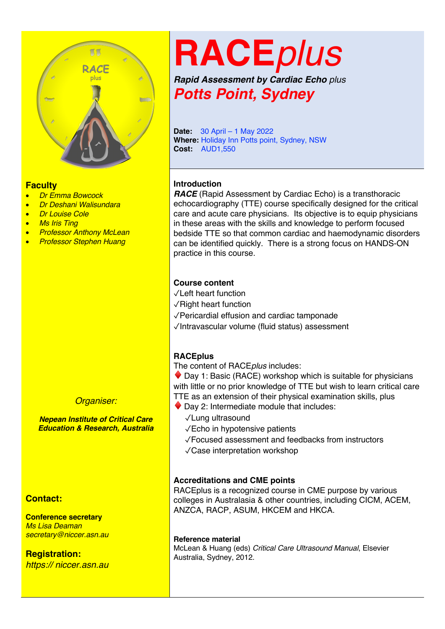

#### **Faculty**

- *Dr Emma Bowcock*
- *Dr Deshani Walisundara*
- *Dr Louise Cole*
- *Ms Iris Ting*
- *Professor Anthony McLean*
- *Professor Stephen Huang*

#### *Organiser:*

*Nepean Institute of Critical Care Education & Research, Australia*

#### **Contact:**

**Conference secretary** *Ms Lisa Deaman secretary@niccer.asn.au*

#### **Registration:** *https:// niccer.asn.au*

# **RACE***plus*

*Rapid Assessment by Cardiac Echo plus Potts Point, Sydney*

**Date:** 30 April – 1 May 2022 **Where:** Holiday Inn Potts point, Sydney, NSW **Cost:** AUD1,550

#### **Introduction**

*RACE* (Rapid Assessment by Cardiac Echo) is a transthoracic echocardiography (TTE) course specifically designed for the critical care and acute care physicians. Its objective is to equip physicians in these areas with the skills and knowledge to perform focused bedside TTE so that common cardiac and haemodynamic disorders can be identified quickly. There is a strong focus on HANDS-ON practice in this course.

#### **Course content**

- ✓Left heart function
- ✓Right heart function
- ✓Pericardial effusion and cardiac tamponade
- ✓Intravascular volume (fluid status) assessment

#### **RACEplus**

The content of RACE*plus* includes:

 $\bullet$  Day 1: Basic (RACE) workshop which is suitable for physicians with little or no prior knowledge of TTE but wish to learn critical care TTE as an extension of their physical examination skills, plus

- $\blacklozenge$  Day 2: Intermediate module that includes:
	- ✓Lung ultrasound
	- ✓Echo in hypotensive patients

✓Focused assessment and feedbacks from instructors

✓Case interpretation workshop

#### **Accreditations and CME points**

RACEplus is a recognized course in CME purpose by various colleges in Australasia & other countries, including CICM, ACEM, ANZCA, RACP, ASUM, HKCEM and HKCA.

#### **Reference material**

McLean & Huang (eds) *Critical Care Ultrasound Manual*, Elsevier Australia, Sydney, 2012.